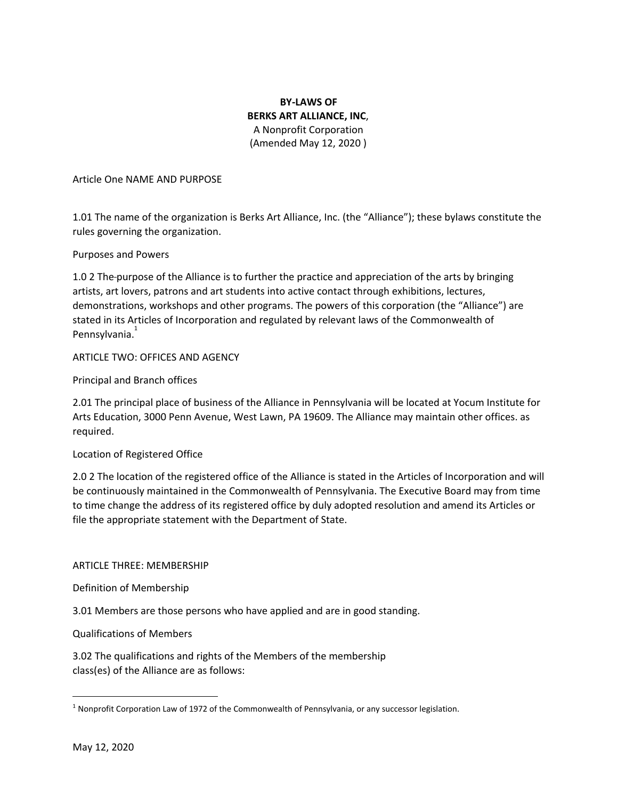# **BY-LAWS OF BERKS ART ALLIANCE, INC**, A Nonprofit Corporation (Amended May 12, 2020 )

### Article One NAME AND PURPOSE

1.01 The name of the organization is Berks Art Alliance, Inc. (the "Alliance"); these bylaws constitute the rules governing the organization.

### Purposes and Powers

1.0 2 The purpose of the Alliance is to further the practice and appreciation of the arts by bringing artists, art lovers, patrons and art students into active contact through exhibitions, lectures, demonstrations, workshops and other programs. The powers of this corporation (the "Alliance") are stated in its Articles of Incorporation and regulated by relevant laws of the Commonwealth of Pennsylvania.<sup>1</sup>

# ARTICLE TWO: OFFICES AND AGENCY

Principal and Branch offices

2.01 The principal place of business of the Alliance in Pennsylvania will be located at Yocum Institute for Arts Education, 3000 Penn Avenue, West Lawn, PA 19609. The Alliance may maintain other offices. as required.

# Location of Registered Office

2.0 2 The location of the registered office of the Alliance is stated in the Articles of Incorporation and will be continuously maintained in the Commonwealth of Pennsylvania. The Executive Board may from time to time change the address of its registered office by duly adopted resolution and amend its Articles or file the appropriate statement with the Department of State.

#### ARTICLE THREE: MEMBERSHIP

Definition of Membership

3.01 Members are those persons who have applied and are in good standing.

#### Qualifications of Members

3.02 The qualifications and rights of the Members of the membership class(es) of the Alliance are as follows:

<sup>&</sup>lt;sup>1</sup> Nonprofit Corporation Law of 1972 of the Commonwealth of Pennsylvania, or any successor legislation.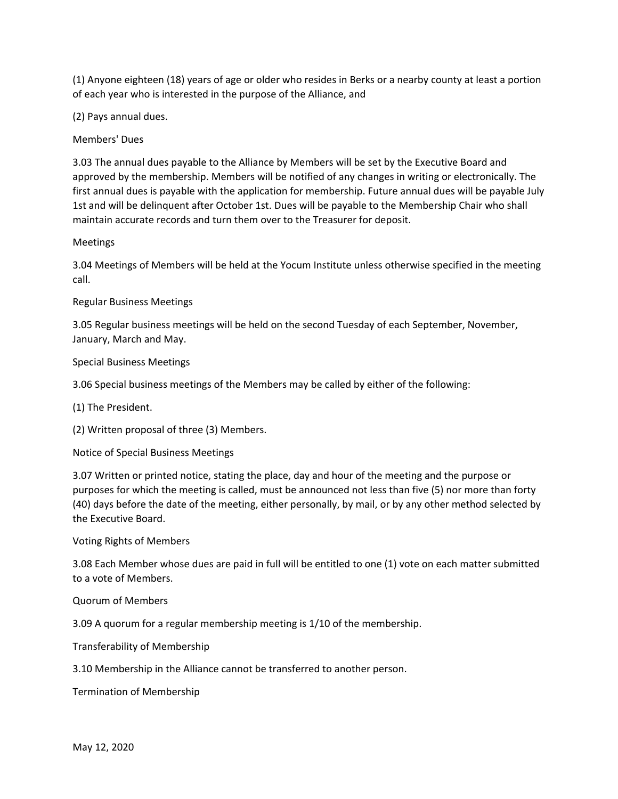(1) Anyone eighteen (18) years of age or older who resides in Berks or a nearby county at least a portion of each year who is interested in the purpose of the Alliance, and

(2) Pays annual dues.

Members' Dues

3.03 The annual dues payable to the Alliance by Members will be set by the Executive Board and approved by the membership. Members will be notified of any changes in writing or electronically. The first annual dues is payable with the application for membership. Future annual dues will be payable July 1st and will be delinquent after October 1st. Dues will be payable to the Membership Chair who shall maintain accurate records and turn them over to the Treasurer for deposit.

#### Meetings

3.04 Meetings of Members will be held at the Yocum Institute unless otherwise specified in the meeting call.

Regular Business Meetings

3.05 Regular business meetings will be held on the second Tuesday of each September, November, January, March and May.

#### Special Business Meetings

3.06 Special business meetings of the Members may be called by either of the following:

(1) The President.

(2) Written proposal of three (3) Members.

Notice of Special Business Meetings

3.07 Written or printed notice, stating the place, day and hour of the meeting and the purpose or purposes for which the meeting is called, must be announced not less than five (5) nor more than forty (40) days before the date of the meeting, either personally, by mail, or by any other method selected by the Executive Board.

Voting Rights of Members

3.08 Each Member whose dues are paid in full will be entitled to one (1) vote on each matter submitted to a vote of Members.

Quorum of Members

3.09 A quorum for a regular membership meeting is 1/10 of the membership.

Transferability of Membership

3.10 Membership in the Alliance cannot be transferred to another person.

Termination of Membership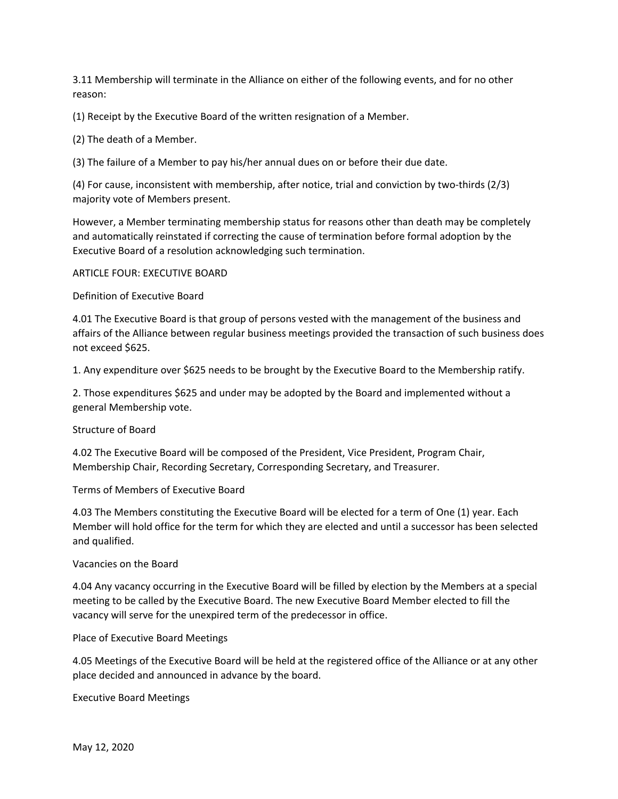3.11 Membership will terminate in the Alliance on either of the following events, and for no other reason:

(1) Receipt by the Executive Board of the written resignation of a Member.

(2) The death of a Member.

(3) The failure of a Member to pay his/her annual dues on or before their due date.

(4) For cause, inconsistent with membership, after notice, trial and conviction by two-thirds (2/3) majority vote of Members present.

However, a Member terminating membership status for reasons other than death may be completely and automatically reinstated if correcting the cause of termination before formal adoption by the Executive Board of a resolution acknowledging such termination.

#### ARTICLE FOUR: EXECUTIVE BOARD

Definition of Executive Board

4.01 The Executive Board is that group of persons vested with the management of the business and affairs of the Alliance between regular business meetings provided the transaction of such business does not exceed \$625.

1. Any expenditure over \$625 needs to be brought by the Executive Board to the Membership ratify.

2. Those expenditures \$625 and under may be adopted by the Board and implemented without a general Membership vote.

Structure of Board

4.02 The Executive Board will be composed of the President, Vice President, Program Chair, Membership Chair, Recording Secretary, Corresponding Secretary, and Treasurer.

Terms of Members of Executive Board

4.03 The Members constituting the Executive Board will be elected for a term of One (1) year. Each Member will hold office for the term for which they are elected and until a successor has been selected and qualified.

#### Vacancies on the Board

4.04 Any vacancy occurring in the Executive Board will be filled by election by the Members at a special meeting to be called by the Executive Board. The new Executive Board Member elected to fill the vacancy will serve for the unexpired term of the predecessor in office.

Place of Executive Board Meetings

4.05 Meetings of the Executive Board will be held at the registered office of the Alliance or at any other place decided and announced in advance by the board.

Executive Board Meetings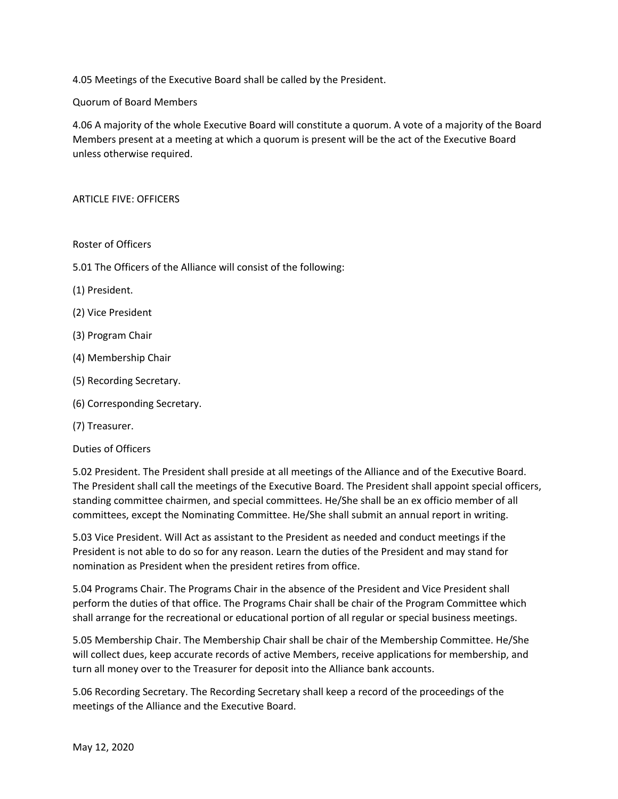4.05 Meetings of the Executive Board shall be called by the President.

Quorum of Board Members

4.06 A majority of the whole Executive Board will constitute a quorum. A vote of a majority of the Board Members present at a meeting at which a quorum is present will be the act of the Executive Board unless otherwise required.

### ARTICLE FIVE: OFFICERS

### Roster of Officers

- 5.01 The Officers of the Alliance will consist of the following:
- (1) President.
- (2) Vice President
- (3) Program Chair
- (4) Membership Chair
- (5) Recording Secretary.
- (6) Corresponding Secretary.
- (7) Treasurer.

#### Duties of Officers

5.02 President. The President shall preside at all meetings of the Alliance and of the Executive Board. The President shall call the meetings of the Executive Board. The President shall appoint special officers, standing committee chairmen, and special committees. He/She shall be an ex officio member of all committees, except the Nominating Committee. He/She shall submit an annual report in writing.

5.03 Vice President. Will Act as assistant to the President as needed and conduct meetings if the President is not able to do so for any reason. Learn the duties of the President and may stand for nomination as President when the president retires from office.

5.04 Programs Chair. The Programs Chair in the absence of the President and Vice President shall perform the duties of that office. The Programs Chair shall be chair of the Program Committee which shall arrange for the recreational or educational portion of all regular or special business meetings.

5.05 Membership Chair. The Membership Chair shall be chair of the Membership Committee. He/She will collect dues, keep accurate records of active Members, receive applications for membership, and turn all money over to the Treasurer for deposit into the Alliance bank accounts.

5.06 Recording Secretary. The Recording Secretary shall keep a record of the proceedings of the meetings of the Alliance and the Executive Board.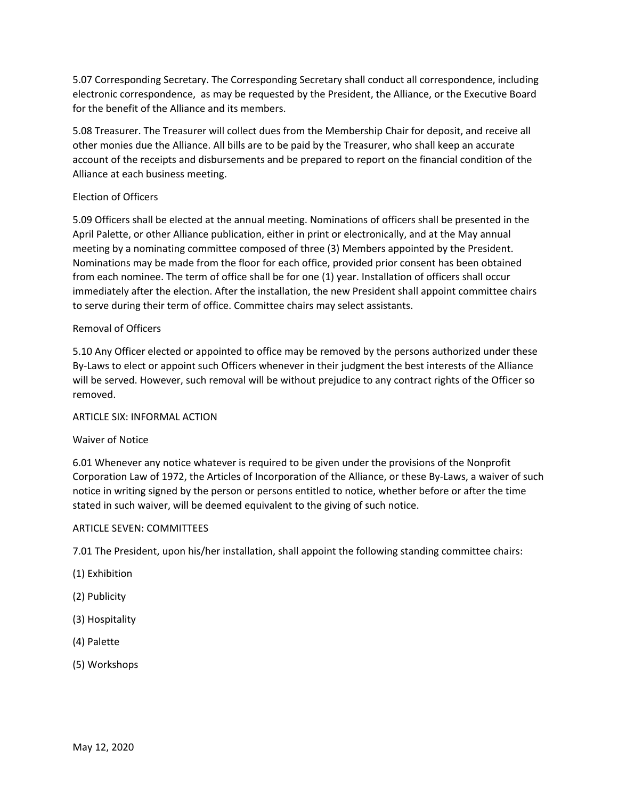5.07 Corresponding Secretary. The Corresponding Secretary shall conduct all correspondence, including electronic correspondence, as may be requested by the President, the Alliance, or the Executive Board for the benefit of the Alliance and its members.

5.08 Treasurer. The Treasurer will collect dues from the Membership Chair for deposit, and receive all other monies due the Alliance. All bills are to be paid by the Treasurer, who shall keep an accurate account of the receipts and disbursements and be prepared to report on the financial condition of the Alliance at each business meeting.

# Election of Officers

5.09 Officers shall be elected at the annual meeting. Nominations of officers shall be presented in the April Palette, or other Alliance publication, either in print or electronically, and at the May annual meeting by a nominating committee composed of three (3) Members appointed by the President. Nominations may be made from the floor for each office, provided prior consent has been obtained from each nominee. The term of office shall be for one (1) year. Installation of officers shall occur immediately after the election. After the installation, the new President shall appoint committee chairs to serve during their term of office. Committee chairs may select assistants.

# Removal of Officers

5.10 Any Officer elected or appointed to office may be removed by the persons authorized under these By-Laws to elect or appoint such Officers whenever in their judgment the best interests of the Alliance will be served. However, such removal will be without prejudice to any contract rights of the Officer so removed.

# ARTICLE SIX: INFORMAL ACTION

# Waiver of Notice

6.01 Whenever any notice whatever is required to be given under the provisions of the Nonprofit Corporation Law of 1972, the Articles of Incorporation of the Alliance, or these By-Laws, a waiver of such notice in writing signed by the person or persons entitled to notice, whether before or after the time stated in such waiver, will be deemed equivalent to the giving of such notice.

# ARTICLE SEVEN: COMMITTEES

7.01 The President, upon his/her installation, shall appoint the following standing committee chairs:

- (1) Exhibition
- (2) Publicity
- (3) Hospitality
- (4) Palette
- (5) Workshops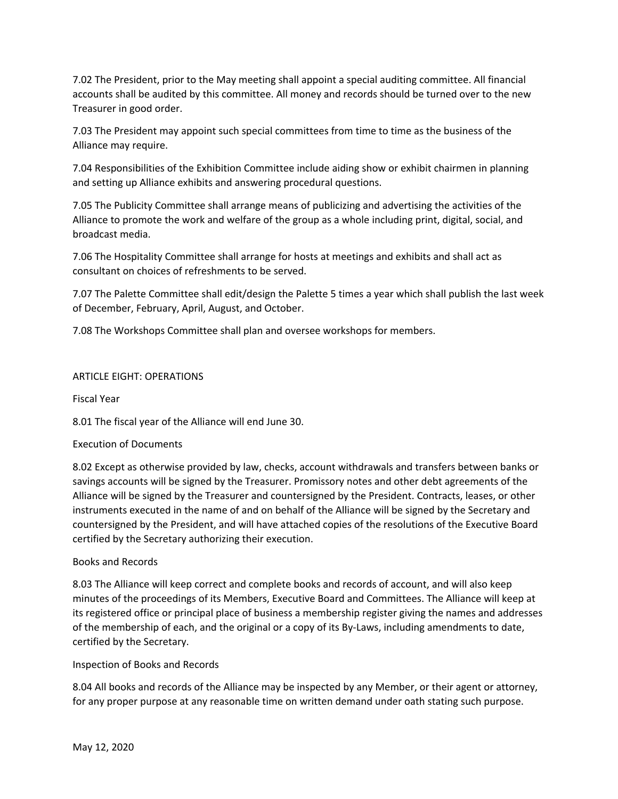7.02 The President, prior to the May meeting shall appoint a special auditing committee. All financial accounts shall be audited by this committee. All money and records should be turned over to the new Treasurer in good order.

7.03 The President may appoint such special committees from time to time as the business of the Alliance may require.

7.04 Responsibilities of the Exhibition Committee include aiding show or exhibit chairmen in planning and setting up Alliance exhibits and answering procedural questions.

7.05 The Publicity Committee shall arrange means of publicizing and advertising the activities of the Alliance to promote the work and welfare of the group as a whole including print, digital, social, and broadcast media.

7.06 The Hospitality Committee shall arrange for hosts at meetings and exhibits and shall act as consultant on choices of refreshments to be served.

7.07 The Palette Committee shall edit/design the Palette 5 times a year which shall publish the last week of December, February, April, August, and October.

7.08 The Workshops Committee shall plan and oversee workshops for members.

# ARTICLE EIGHT: OPERATIONS

Fiscal Year

8.01 The fiscal year of the Alliance will end June 30.

# Execution of Documents

8.02 Except as otherwise provided by law, checks, account withdrawals and transfers between banks or savings accounts will be signed by the Treasurer. Promissory notes and other debt agreements of the Alliance will be signed by the Treasurer and countersigned by the President. Contracts, leases, or other instruments executed in the name of and on behalf of the Alliance will be signed by the Secretary and countersigned by the President, and will have attached copies of the resolutions of the Executive Board certified by the Secretary authorizing their execution.

# Books and Records

8.03 The Alliance will keep correct and complete books and records of account, and will also keep minutes of the proceedings of its Members, Executive Board and Committees. The Alliance will keep at its registered office or principal place of business a membership register giving the names and addresses of the membership of each, and the original or a copy of its By-Laws, including amendments to date, certified by the Secretary.

# Inspection of Books and Records

8.04 All books and records of the Alliance may be inspected by any Member, or their agent or attorney, for any proper purpose at any reasonable time on written demand under oath stating such purpose.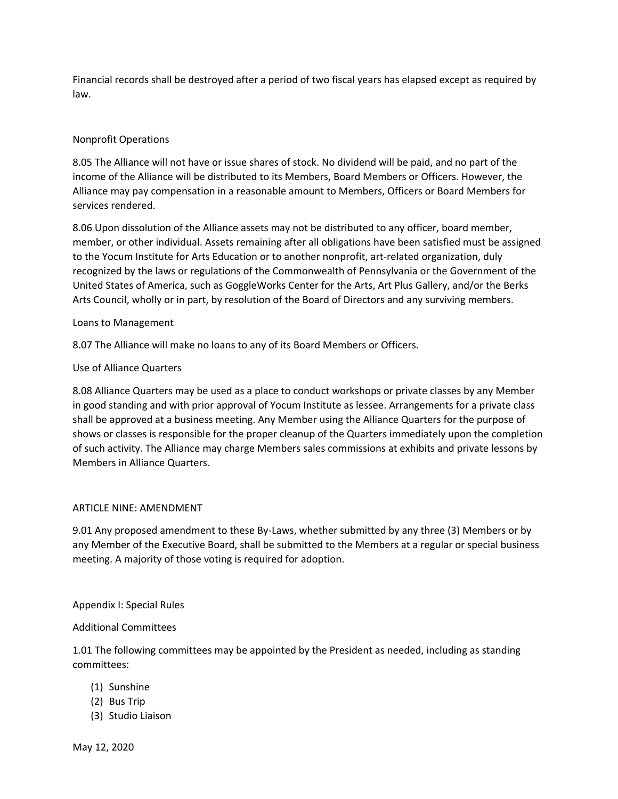Financial records shall be destroyed after a period of two fiscal years has elapsed except as required by law.

# Nonprofit Operations

8.05 The Alliance will not have or issue shares of stock. No dividend will be paid, and no part of the income of the Alliance will be distributed to its Members, Board Members or Officers. However, the Alliance may pay compensation in a reasonable amount to Members, Officers or Board Members for services rendered.

8.06 Upon dissolution of the Alliance assets may not be distributed to any officer, board member, member, or other individual. Assets remaining after all obligations have been satisfied must be assigned to the Yocum Institute for Arts Education or to another nonprofit, art-related organization, duly recognized by the laws or regulations of the Commonwealth of Pennsylvania or the Government of the United States of America, such as GoggleWorks Center for the Arts, Art Plus Gallery, and/or the Berks Arts Council, wholly or in part, by resolution of the Board of Directors and any surviving members.

### Loans to Management

8.07 The Alliance will make no loans to any of its Board Members or Officers.

### Use of Alliance Quarters

8.08 Alliance Quarters may be used as a place to conduct workshops or private classes by any Member in good standing and with prior approval of Yocum Institute as lessee. Arrangements for a private class shall be approved at a business meeting. Any Member using the Alliance Quarters for the purpose of shows or classes is responsible for the proper cleanup of the Quarters immediately upon the completion of such activity. The Alliance may charge Members sales commissions at exhibits and private lessons by Members in Alliance Quarters.

#### ARTICLE NINE: AMENDMENT

9.01 Any proposed amendment to these By-Laws, whether submitted by any three (3) Members or by any Member of the Executive Board, shall be submitted to the Members at a regular or special business meeting. A majority of those voting is required for adoption.

#### Appendix I: Special Rules

# Additional Committees

1.01 The following committees may be appointed by the President as needed, including as standing committees:

- (1) Sunshine
- (2) Bus Trip
- (3) Studio Liaison